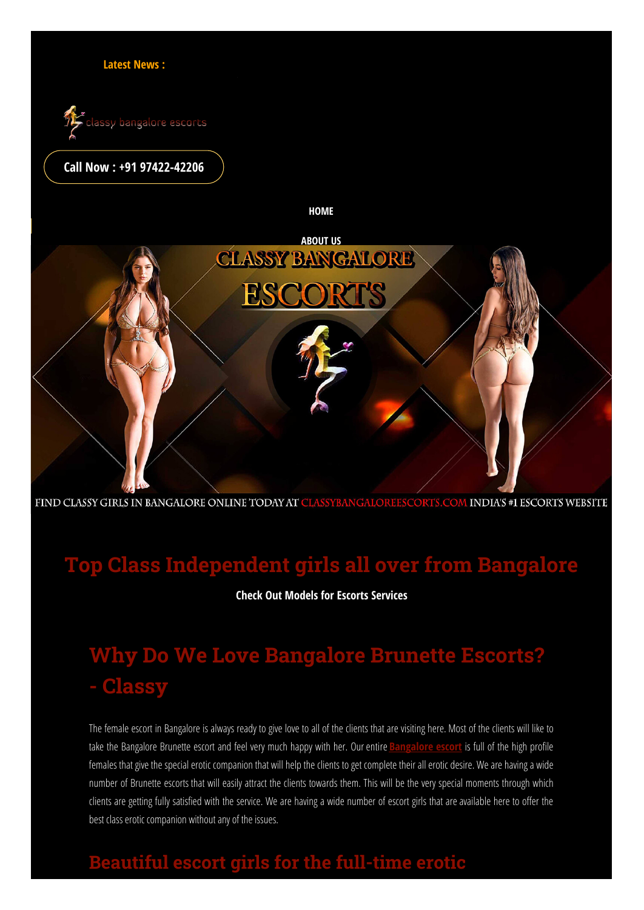



#### **Call Now : +91 [97422-42206](tel:+91%209742242206)**

**HOME**

**Your time is limited, so don't waste it living someone else's life.Get The High Profile Escorts Service in Bangalore**



FIND CLASSY GIRLS IN BANGALORE ONLINE TODAY AT CLASSYBANGALOREESCORTS.COM INDIA'S #1 ESCORTS WEBSITE

# **Top Class Independent girls all over from Bangalore**

**Check Out Models for Escorts Services**

# **Why Do We Love Bangalore Brunette Escorts? - Classy**

The female escort in Bangalore is always ready to give love to all of the clients that are visiting here. Most of the clients will like to take the [Bangalore](https://www.classybangaloreescorts.com/blog/bangalore-escorts.html) Brunette escort and feel very much happy with her. Our entire **Bangalore escort** is full of the high profile females that give the special erotic companion that will help the clients to get complete their all erotic desire. We are having a wide number of Brunette escorts that will easily attract the clients towards them. This will be the very special moments through which clients are getting fully satisfied with the service. We are having a wide number of escort girls that are available here to offer the best class erotic companion without any of the issues.

# **Beautiful escort girls for the full-time erotic**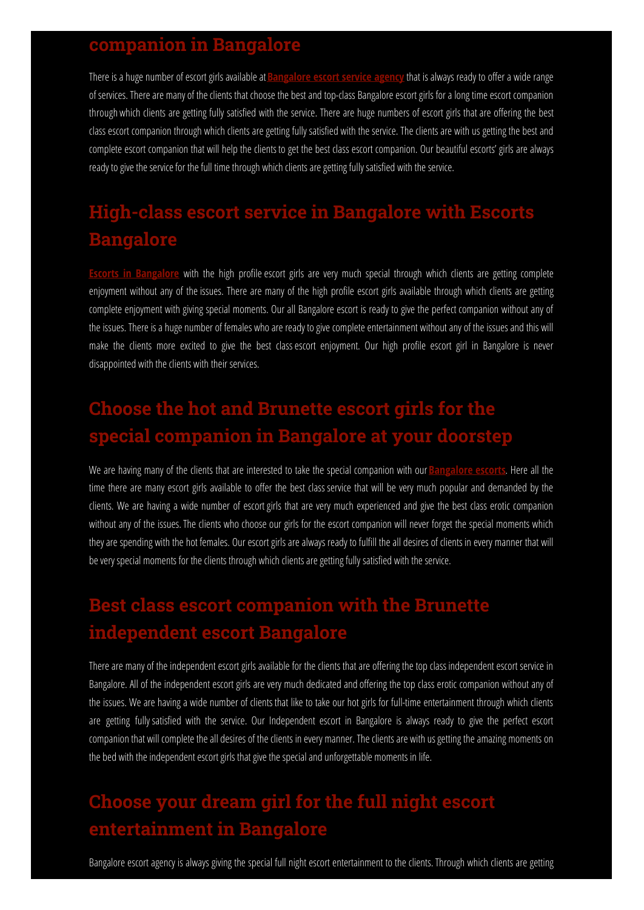#### **companion in Bangalore**

There is a huge number of escort girls available at **[Bangalore](https://www.classybangaloreescorts.com/services/bangalore-escorts-agency.html)** escort service agency that is always ready to offer a wide range of services. There are many of the clients that choose the best and top-class Bangalore escort girls for a long time escort companion through which clients are getting fully satisfied with the service. There are huge numbers of escort girls that are offering the best class escort companion through which clients are getting fully satisfied with the service. The clients are with us getting the best and complete escort companion that will help the clients to get the best class escort companion. Our beautiful escorts' girls are always ready to give the service for the full time through which clients are getting fully satisfied with the service.

# **High-class escort service in Bangalore with Escorts Bangalore**

**Escorts in [Bangalore](https://www.classybangaloreescorts.com/)** with the high profile escort girls are very much special through which clients are getting complete enjoyment without any of the issues. There are many of the high profile escort girls available through which clients are getting complete enjoyment with giving special moments. Our all Bangalore escort is ready to give the perfect companion without any of the issues. There is a huge number of females who are ready to give complete entertainment without any of the issues and this will make the clients more excited to give the best class escort enjoyment. Our high profile escort girl in Bangalore is never disappointed with the clients with their services.

# **Choose the hot and Brunette escort girls for the special companion in Bangalore at your doorstep**

We are having many of the clients that are interested to take the special companion with our **[Bangalore](https://www.classybangaloreescorts.com/services/bangalore-escorts-service.html) escorts**. Here all the time there are many escort girls available to offer the best class service that will be very much popular and demanded by the clients. We are having a wide number of escort girls that are very much experienced and give the best class erotic companion without any of the issues.The clients who choose our girls for the escort companion will never forget the special moments which they are spending with the hot females. Our escort girls are always ready to fulfill the all desires of clients in every manner that will be very special moments for the clients through which clients are getting fully satisfied with the service.

# **Best class escort companion with the Brunette independent escort Bangalore**

There are many of the independent escort girls available for the clients that are offering the top class independent escort service in Bangalore. All of the independent escort girls are very much dedicated and offering the top class erotic companion without any of the issues. We are having a wide number of clients that like to take our hot girls for full-time entertainment through which clients are getting fully satisfied with the service. Our Independent escort in Bangalore is always ready to give the perfect escort companion that will complete the all desires of the clients in every manner. The clients are with us getting the amazing moments on the bed with the independent escort girls that give the special and unforgettable moments in life.

## **Choose your dream girl for the full night escort entertainment in Bangalore**

Bangalore escort agency is always giving the special full night escort entertainment to the clients. Through which clients are getting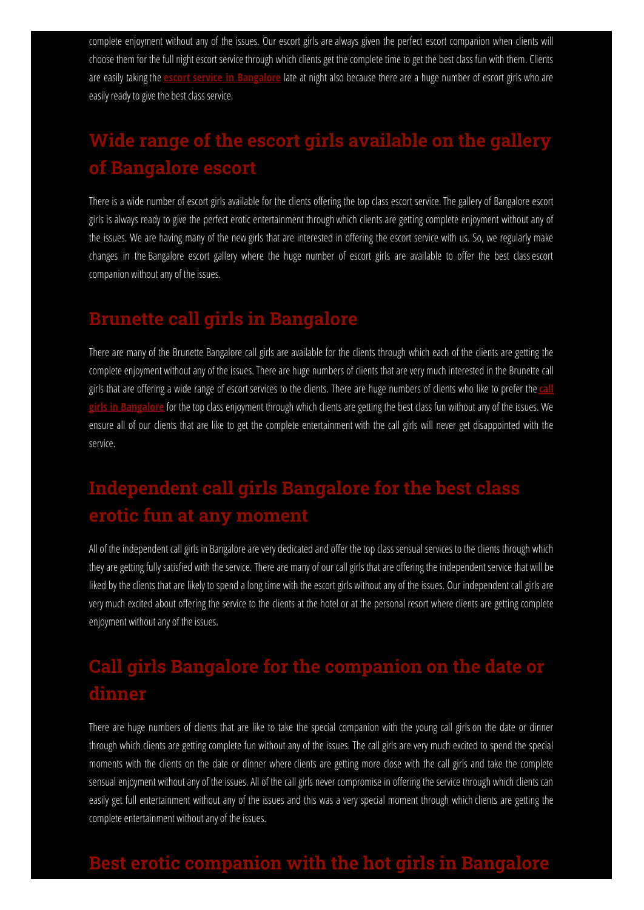complete enjoyment without any of the issues. Our escort girls are always given the perfect escort companion when clients will choose them for the full night escort service through which clients get the complete time to get the best class fun with them. Clients are easily takingthe **escort service in [Bangalore](https://www.classybangaloreescorts.com/services/escorts-service-in-bangalore.html)** late at night also because there are a huge number of escort girls who are easily ready to give the best class service.

# **Wide range of the escort girls available on the gallery of Bangalore escort**

There is a wide number of escort girls available for the clients offering the top class escort service. The gallery of Bangalore escort girls is always ready to give the perfect erotic entertainment through which clients are getting complete enjoyment without any of the issues. We are having many of the new girls that are interested in offering the escort service with us. So, we regularly make changes in the Bangalore escort gallery where the huge number of escort girls are available to offer the best classescort companion without any of the issues.

### **Brunette call girls in Bangalore**

There are many of the Brunette Bangalore call girls are available for the clients through which each of the clients are getting the complete enjoyment without any of the issues. There are huge numbers of clients that are very much interested in the Brunette call girls that are offering a wide range of escort services to the clients. There are huge numbers of clients who like to prefer the ca **girls in [Bangalore](https://www.classybangaloreescorts.com/blog/call-girls-in-bangalore.html)** for the top class enjoyment through which clients are getting the best class fun without any of the issues. We ensure all of our clients that are like to get the complete entertainment with the call girls will never get disappointed with the service.

# **Independent call girls Bangalore for the best class erotic fun at any moment**

All of the independent call girls in Bangalore are very dedicated and offer the top class sensual services to the clients through which they are getting fully satisfied with the service. There are many of our call girls that are offering the independent service that will be liked by the clients that are likely to spend a long time with the escort girls without any of the issues. Our independent call girls are very much excited about offering the service to the clients at the hotel or at the personal resort where clients are getting complete enjoyment without any of the issues.

# **Call girls Bangalore for the companion on the date or dinner**

There are huge numbers of clients that are like to take the special companion with the young call girls on the date or dinner through which clients are getting complete fun without any of the issues. The call girls are very much excited to spend the special moments with the clients on the date or dinner where clients are getting more close with the call girls and take the complete sensual enjoyment without any of the issues. All of the call girls never compromise in offering the service through which clients can easily get full entertainment without any of the issues and this was a very special moment through which clients are getting the complete entertainment without any of the issues.

### **Best erotic companion with the hot girls in Bangalore**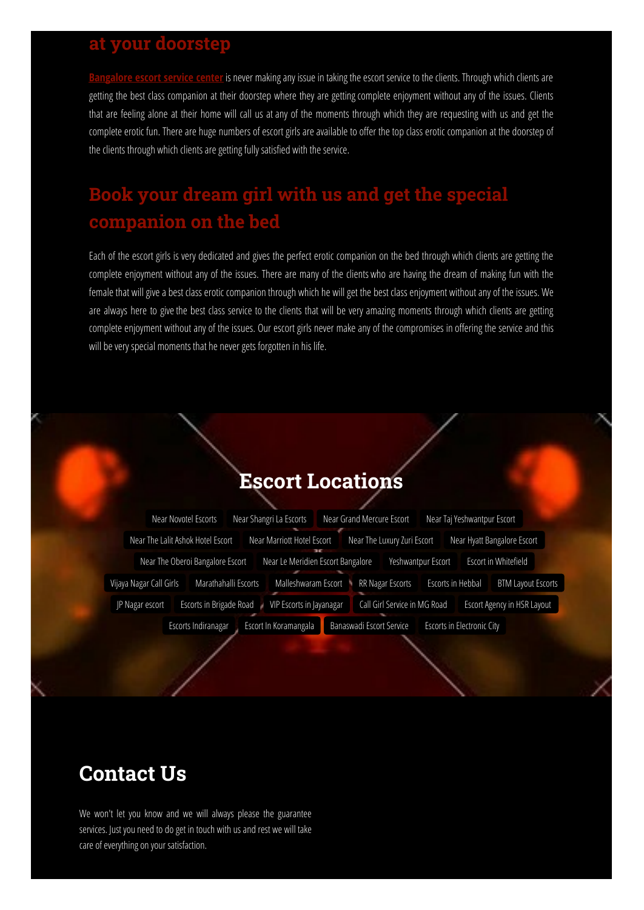#### **at your doorstep**

is never making any issue in taking the escort service to the clients. Through which clients are getting the best class companion at their doorstep where they are getting complete enjoyment without any of the issues. Clients that are feeling alone at their home will call us at any of the moments through which they are requesting with us and get the complete erotic fun. There are huge numbers of escort girls are available to offer the top class erotic companion at the doorstep of the clients through which clients are getting fully satisfied with the service.

## **Book your dream girl with us and get the special companion on the bed**

Each of the escort girls is very dedicated and gives the perfect erotic companion on the bed through which clients are getting the complete enjoyment without any of the issues. There are many of the clients who are having the dream of making fun with the female that will give a best class erotic companion through which he will get the best class enjoyment without any of the issues. We are always here to give the best class service to the clients that will be very amazing moments through which clients are getting complete enjoyment without any of the issues. Our escort girls never make any of the compromises in offering the service and this will be very special moments that he never gets forgotten in his life.

## **Escort Locations**

|                                                   | Near Novotel Escorts              |  |  | Near Shangri La Escorts             | Near Grand Mercure Escort |                              |                          | Near Taj Yeshwantpur Escort                    |                             |                      |  |
|---------------------------------------------------|-----------------------------------|--|--|-------------------------------------|---------------------------|------------------------------|--------------------------|------------------------------------------------|-----------------------------|----------------------|--|
|                                                   | Near The Lalit Ashok Hotel Escort |  |  | Near Marriott Hotel Escort<br>79.97 |                           | Near The Luxury Zuri Escort  |                          |                                                | Near Hyatt Bangalore Escort |                      |  |
|                                                   | Near The Oberoi Bangalore Escort  |  |  | Near Le Meridien Escort Bangalore   |                           |                              |                          | Yeshwantpur Escort                             |                             | Escort in Whitefield |  |
| Marathahalli Escorts<br>Vijaya Nagar Call Girls   |                                   |  |  | Malleshwaram Escort                 | RR Nagar Escorts<br>h,    |                              |                          | Escorts in Hebbal<br><b>BTM Layout Escorts</b> |                             |                      |  |
| <b>Escorts in Brigade Road</b><br>JP Nagar escort |                                   |  |  | VIP Escorts in Jayanagar            |                           | Call Girl Service in MG Road |                          |                                                | Escort Agency in HSR Layout |                      |  |
|                                                   | Escorts Indiranagar               |  |  | Escort In Koramangala               |                           |                              | Banaswadi Escort Service |                                                | Escorts in Electronic City  |                      |  |

# **Contact Us**

We won't let you know and we will always please the guarantee services. Just you need to do get in touch with us and rest we will take care of everything on your satisfaction.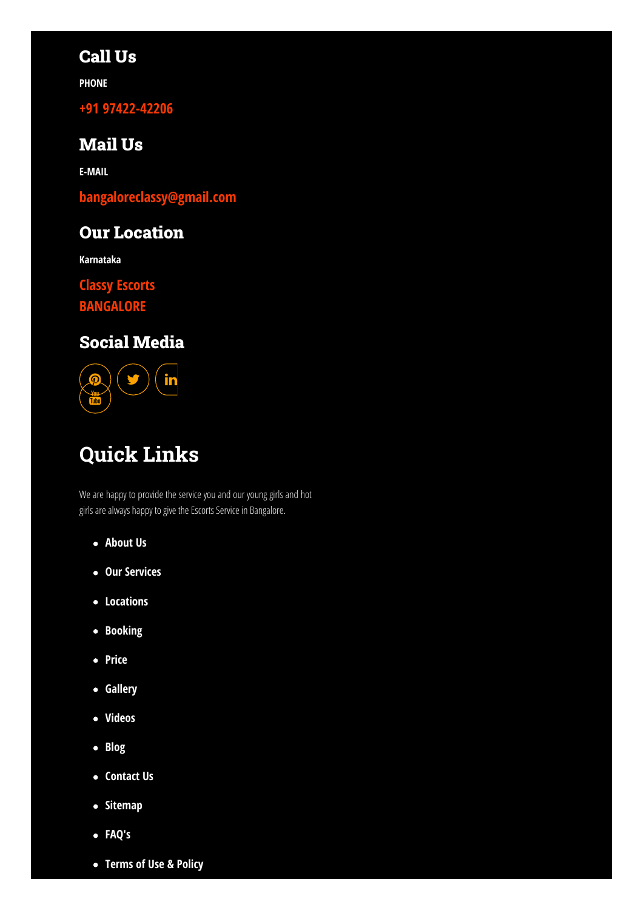### Call Us

**PHONE**

**+91 [97422-42206](tel:+91%209742242206)**

#### Mail Us

**E-MAIL**

**[bangaloreclassy@gmail.com](mailto:bangaloreclassy@gmail.com)**

### Our Location

**Karnataka**

**Classy Escorts**

**[BANGALORE](https://www.classybangaloreescorts.com/locations.html)**

### Social Media



# **Quick Links**

We are happy to provide the service you and our young girls and hot girls are always happy to give the Escorts Service in Bangalore.

- **[About](https://www.classybangaloreescorts.com/about.html) Us**
- **Our [Services](https://www.classybangaloreescorts.com/services.html)**
- **[Locations](https://www.classybangaloreescorts.com/locations.html)**
- **[Booking](https://www.classybangaloreescorts.com/booking.html)**
- **[Price](https://www.classybangaloreescorts.com/price.html)**
- **[Gallery](https://www.classybangaloreescorts.com/gallery.html)**
- **[Videos](https://www.classybangaloreescorts.com/video.html)**
- **[Blog](https://www.classybangaloreescorts.com/blog.html)**
- **[Contact](https://www.classybangaloreescorts.com/contact.html) Us**
- **•** [Sitemap](https://www.classybangaloreescorts.com/sitemap.xml)
- **[FAQ's](https://www.classybangaloreescorts.com/bangalore-escort-faqs.html)**
- **[Terms](https://www.classybangaloreescorts.com/terms-of-use-privacy-policy.html) of Use & Policy**